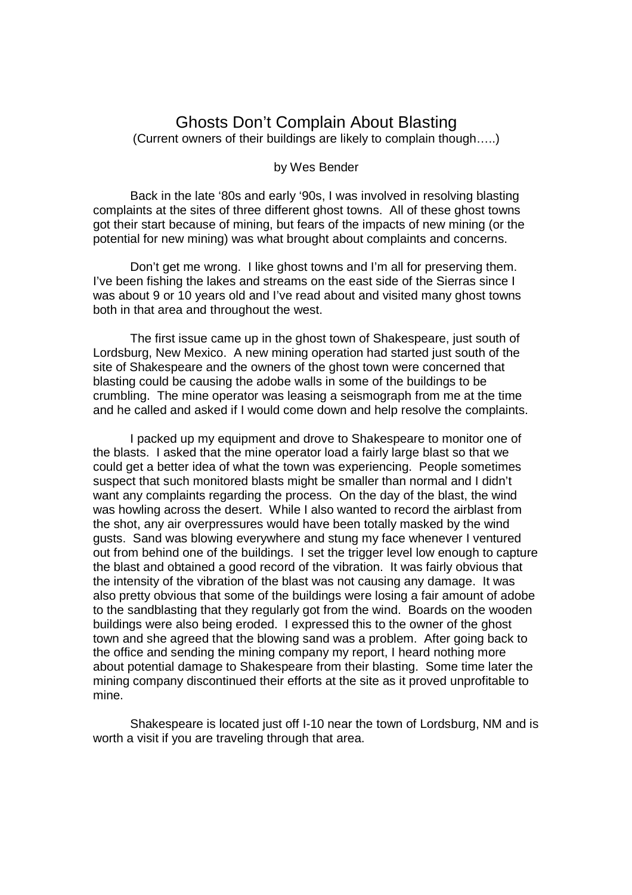## Ghosts Don't Complain About Blasting (Current owners of their buildings are likely to complain though…..)

by Wes Bender

 Back in the late '80s and early '90s, I was involved in resolving blasting complaints at the sites of three different ghost towns. All of these ghost towns got their start because of mining, but fears of the impacts of new mining (or the potential for new mining) was what brought about complaints and concerns.

 Don't get me wrong. I like ghost towns and I'm all for preserving them. I've been fishing the lakes and streams on the east side of the Sierras since I was about 9 or 10 years old and I've read about and visited many ghost towns both in that area and throughout the west.

 The first issue came up in the ghost town of Shakespeare, just south of Lordsburg, New Mexico. A new mining operation had started just south of the site of Shakespeare and the owners of the ghost town were concerned that blasting could be causing the adobe walls in some of the buildings to be crumbling. The mine operator was leasing a seismograph from me at the time and he called and asked if I would come down and help resolve the complaints.

 I packed up my equipment and drove to Shakespeare to monitor one of the blasts. I asked that the mine operator load a fairly large blast so that we could get a better idea of what the town was experiencing. People sometimes suspect that such monitored blasts might be smaller than normal and I didn't want any complaints regarding the process. On the day of the blast, the wind was howling across the desert. While I also wanted to record the airblast from the shot, any air overpressures would have been totally masked by the wind gusts. Sand was blowing everywhere and stung my face whenever I ventured out from behind one of the buildings. I set the trigger level low enough to capture the blast and obtained a good record of the vibration. It was fairly obvious that the intensity of the vibration of the blast was not causing any damage. It was also pretty obvious that some of the buildings were losing a fair amount of adobe to the sandblasting that they regularly got from the wind. Boards on the wooden buildings were also being eroded. I expressed this to the owner of the ghost town and she agreed that the blowing sand was a problem. After going back to the office and sending the mining company my report, I heard nothing more about potential damage to Shakespeare from their blasting. Some time later the mining company discontinued their efforts at the site as it proved unprofitable to mine.

 Shakespeare is located just off I-10 near the town of Lordsburg, NM and is worth a visit if you are traveling through that area.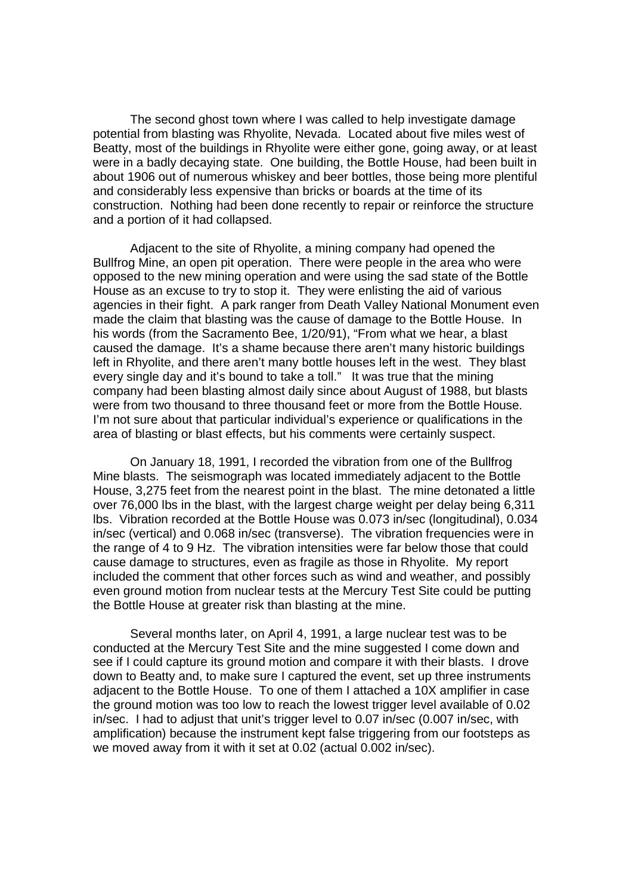The second ghost town where I was called to help investigate damage potential from blasting was Rhyolite, Nevada. Located about five miles west of Beatty, most of the buildings in Rhyolite were either gone, going away, or at least were in a badly decaying state. One building, the Bottle House, had been built in about 1906 out of numerous whiskey and beer bottles, those being more plentiful and considerably less expensive than bricks or boards at the time of its construction. Nothing had been done recently to repair or reinforce the structure and a portion of it had collapsed.

 Adjacent to the site of Rhyolite, a mining company had opened the Bullfrog Mine, an open pit operation. There were people in the area who were opposed to the new mining operation and were using the sad state of the Bottle House as an excuse to try to stop it. They were enlisting the aid of various agencies in their fight. A park ranger from Death Valley National Monument even made the claim that blasting was the cause of damage to the Bottle House. In his words (from the Sacramento Bee, 1/20/91), "From what we hear, a blast caused the damage. It's a shame because there aren't many historic buildings left in Rhyolite, and there aren't many bottle houses left in the west. They blast every single day and it's bound to take a toll." It was true that the mining company had been blasting almost daily since about August of 1988, but blasts were from two thousand to three thousand feet or more from the Bottle House. I'm not sure about that particular individual's experience or qualifications in the area of blasting or blast effects, but his comments were certainly suspect.

 On January 18, 1991, I recorded the vibration from one of the Bullfrog Mine blasts. The seismograph was located immediately adjacent to the Bottle House, 3,275 feet from the nearest point in the blast. The mine detonated a little over 76,000 lbs in the blast, with the largest charge weight per delay being 6,311 lbs. Vibration recorded at the Bottle House was 0.073 in/sec (longitudinal), 0.034 in/sec (vertical) and 0.068 in/sec (transverse). The vibration frequencies were in the range of 4 to 9 Hz. The vibration intensities were far below those that could cause damage to structures, even as fragile as those in Rhyolite. My report included the comment that other forces such as wind and weather, and possibly even ground motion from nuclear tests at the Mercury Test Site could be putting the Bottle House at greater risk than blasting at the mine.

 Several months later, on April 4, 1991, a large nuclear test was to be conducted at the Mercury Test Site and the mine suggested I come down and see if I could capture its ground motion and compare it with their blasts. I drove down to Beatty and, to make sure I captured the event, set up three instruments adjacent to the Bottle House. To one of them I attached a 10X amplifier in case the ground motion was too low to reach the lowest trigger level available of 0.02 in/sec. I had to adjust that unit's trigger level to 0.07 in/sec (0.007 in/sec, with amplification) because the instrument kept false triggering from our footsteps as we moved away from it with it set at 0.02 (actual 0.002 in/sec).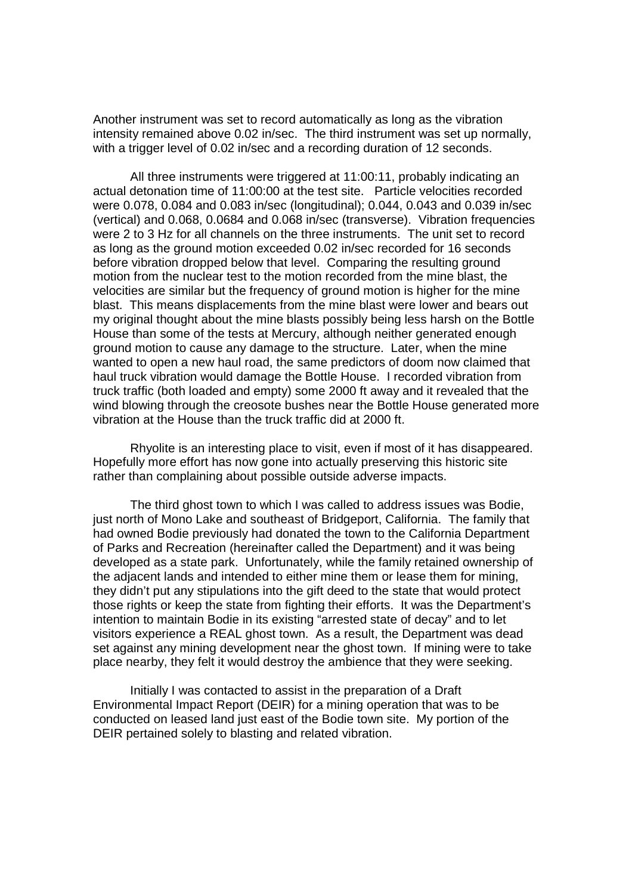Another instrument was set to record automatically as long as the vibration intensity remained above 0.02 in/sec. The third instrument was set up normally, with a trigger level of 0.02 in/sec and a recording duration of 12 seconds.

 All three instruments were triggered at 11:00:11, probably indicating an actual detonation time of 11:00:00 at the test site. Particle velocities recorded were 0.078, 0.084 and 0.083 in/sec (longitudinal); 0.044, 0.043 and 0.039 in/sec (vertical) and 0.068, 0.0684 and 0.068 in/sec (transverse). Vibration frequencies were 2 to 3 Hz for all channels on the three instruments. The unit set to record as long as the ground motion exceeded 0.02 in/sec recorded for 16 seconds before vibration dropped below that level. Comparing the resulting ground motion from the nuclear test to the motion recorded from the mine blast, the velocities are similar but the frequency of ground motion is higher for the mine blast. This means displacements from the mine blast were lower and bears out my original thought about the mine blasts possibly being less harsh on the Bottle House than some of the tests at Mercury, although neither generated enough ground motion to cause any damage to the structure. Later, when the mine wanted to open a new haul road, the same predictors of doom now claimed that haul truck vibration would damage the Bottle House. I recorded vibration from truck traffic (both loaded and empty) some 2000 ft away and it revealed that the wind blowing through the creosote bushes near the Bottle House generated more vibration at the House than the truck traffic did at 2000 ft.

 Rhyolite is an interesting place to visit, even if most of it has disappeared. Hopefully more effort has now gone into actually preserving this historic site rather than complaining about possible outside adverse impacts.

 The third ghost town to which I was called to address issues was Bodie, just north of Mono Lake and southeast of Bridgeport, California. The family that had owned Bodie previously had donated the town to the California Department of Parks and Recreation (hereinafter called the Department) and it was being developed as a state park. Unfortunately, while the family retained ownership of the adjacent lands and intended to either mine them or lease them for mining, they didn't put any stipulations into the gift deed to the state that would protect those rights or keep the state from fighting their efforts. It was the Department's intention to maintain Bodie in its existing "arrested state of decay" and to let visitors experience a REAL ghost town. As a result, the Department was dead set against any mining development near the ghost town. If mining were to take place nearby, they felt it would destroy the ambience that they were seeking.

 Initially I was contacted to assist in the preparation of a Draft Environmental Impact Report (DEIR) for a mining operation that was to be conducted on leased land just east of the Bodie town site. My portion of the DEIR pertained solely to blasting and related vibration.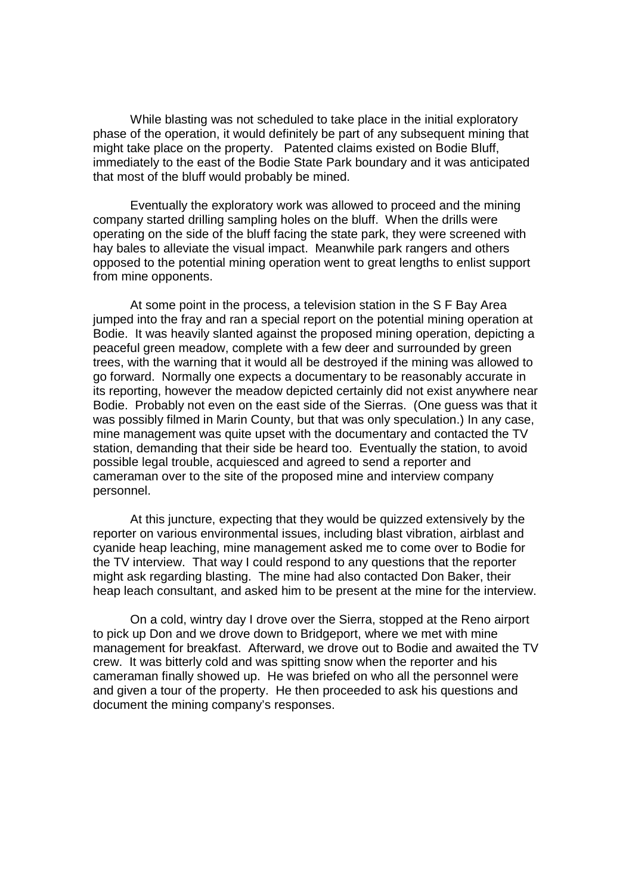While blasting was not scheduled to take place in the initial exploratory phase of the operation, it would definitely be part of any subsequent mining that might take place on the property. Patented claims existed on Bodie Bluff, immediately to the east of the Bodie State Park boundary and it was anticipated that most of the bluff would probably be mined.

 Eventually the exploratory work was allowed to proceed and the mining company started drilling sampling holes on the bluff. When the drills were operating on the side of the bluff facing the state park, they were screened with hay bales to alleviate the visual impact. Meanwhile park rangers and others opposed to the potential mining operation went to great lengths to enlist support from mine opponents.

 At some point in the process, a television station in the S F Bay Area jumped into the fray and ran a special report on the potential mining operation at Bodie. It was heavily slanted against the proposed mining operation, depicting a peaceful green meadow, complete with a few deer and surrounded by green trees, with the warning that it would all be destroyed if the mining was allowed to go forward. Normally one expects a documentary to be reasonably accurate in its reporting, however the meadow depicted certainly did not exist anywhere near Bodie. Probably not even on the east side of the Sierras. (One guess was that it was possibly filmed in Marin County, but that was only speculation.) In any case, mine management was quite upset with the documentary and contacted the TV station, demanding that their side be heard too. Eventually the station, to avoid possible legal trouble, acquiesced and agreed to send a reporter and cameraman over to the site of the proposed mine and interview company personnel.

 At this juncture, expecting that they would be quizzed extensively by the reporter on various environmental issues, including blast vibration, airblast and cyanide heap leaching, mine management asked me to come over to Bodie for the TV interview. That way I could respond to any questions that the reporter might ask regarding blasting. The mine had also contacted Don Baker, their heap leach consultant, and asked him to be present at the mine for the interview.

 On a cold, wintry day I drove over the Sierra, stopped at the Reno airport to pick up Don and we drove down to Bridgeport, where we met with mine management for breakfast. Afterward, we drove out to Bodie and awaited the TV crew. It was bitterly cold and was spitting snow when the reporter and his cameraman finally showed up. He was briefed on who all the personnel were and given a tour of the property. He then proceeded to ask his questions and document the mining company's responses.